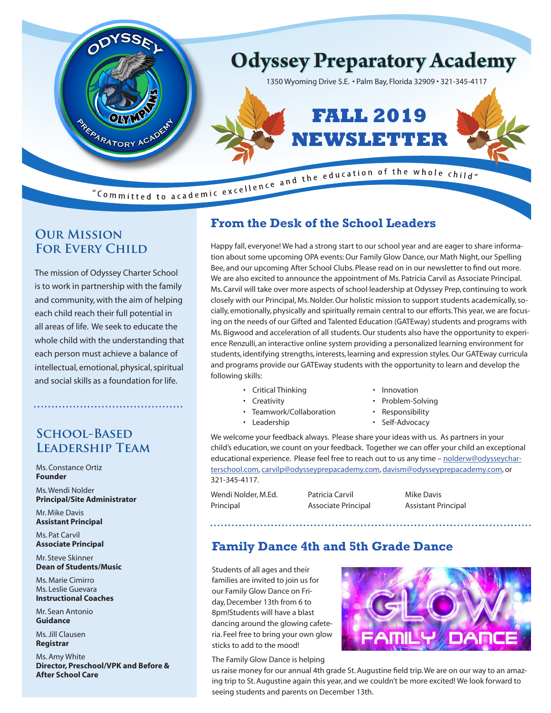

### **Our Mission FOR EVERY CHILD**

The mission of Odyssey Charter School is to work in partnership with the family and community, with the aim of helping each child reach their full potential in all areas of life. We seek to educate the whole child with the understanding that each person must achieve a balance of intellectual, emotional, physical, spiritual and social skills as a foundation for life.

### **School-Based Leadership Team**

Ms. Constance Ortiz **Founder**

Ms. Wendi Nolder **Principal/Site Administrator**

Mr. Mike Davis **Assistant Principal**

Ms. Pat Carvil **Associate Principal**

Mr. Steve Skinner **Dean of Students/Music**

Ms. Marie Cimirro Ms. Leslie Guevara **Instructional Coaches**

Mr. Sean Antonio **Guidance**

Ms. Jill Clausen **Registrar**

Ms. Amy White **Director, Preschool/VPK and Before & After School Care**

## **From the Desk of the School Leaders**

Happy fall, everyone! We had a strong start to our school year and are eager to share information about some upcoming OPA events: Our Family Glow Dance, our Math Night, our Spelling Bee, and our upcoming After School Clubs. Please read on in our newsletter to find out more. We are also excited to announce the appointment of Ms. Patricia Carvil as Associate Principal. Ms. Carvil will take over more aspects of school leadership at Odyssey Prep, continuing to work closely with our Principal, Ms. Nolder. Our holistic mission to support students academically, socially, emotionally, physically and spiritually remain central to our efforts.This year, we are focusing on the needs of our Gifted and Talented Education (GATEway) students and programs with Ms. Bigwood and acceleration of all students. Our students also have the opportunity to experience Renzulli, an interactive online system providing a personalized learning environment for students, identifying strengths, interests, learning and expression styles. Our GATEway curricula and programs provide our GATEway students with the opportunity to learn and develop the following skills:

- Critical Thinking Innovation
- 
- 
- Creativity Problem-Solving
- Teamwork/Collaboration Responsibility
- Leadership Self-Advocacy

We welcome your feedback always. Please share your ideas with us. As partners in your child's education, we count on your feedback. Together we can offer your child an exceptional educational experience. Please feel free to reach out to us any time – nolderw@odysseycharterschool.com, carvilp@odysseyprepacademy.com, davism@odysseyprepacademy.com, or 321-345-4117.

Wendi Nolder, M.Ed. **Patricia Carvil Carvil Mike Davis** Principal **Associate Principal** Associate Principal

### **Family Dance 4th and 5th Grade Dance**

Students of all ages and their families are invited to join us for our Family Glow Dance on Friday, December 13th from 6 to 8pm!Students will have a blast dancing around the glowing cafeteria. Feel free to bring your own glow sticks to add to the mood!



The Family Glow Dance is helping

us raise money for our annual 4th grade St. Augustine field trip.We are on our way to an amazing trip to St. Augustine again this year, and we couldn't be more excited! We look forward to seeing students and parents on December 13th.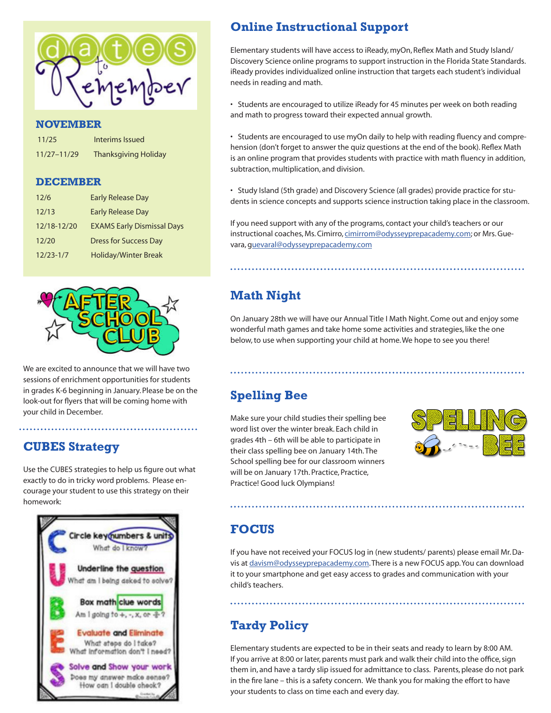

#### **NOVEMBER**

| 11/25           | Interims Issued             |
|-----------------|-----------------------------|
| $11/27 - 11/29$ | <b>Thanksgiving Holiday</b> |

#### **DECEMBER**

| 12/6          | <b>Early Release Day</b>          |
|---------------|-----------------------------------|
| 12/13         | <b>Early Release Day</b>          |
| 12/18-12/20   | <b>EXAMS Early Dismissal Days</b> |
| 12/20         | <b>Dress for Success Day</b>      |
| $12/23 - 1/7$ | <b>Holiday/Winter Break</b>       |



We are excited to announce that we will have two sessions of enrichment opportunities for students in grades K-6 beginning in January. Please be on the look-out for flyers that will be coming home with your child in December.

### **CUBES Strategy**

Use the CUBES strategies to help us figure out what exactly to do in tricky word problems. Please encourage your student to use this strategy on their homework:



## **Online Instructional Support**

Elementary students will have access to iReady, myOn, Reflex Math and Study Island/ Discovery Science online programs to support instruction in the Florida State Standards. iReady provides individualized online instruction that targets each student's individual needs in reading and math.

• Students are encouraged to utilize iReady for 45 minutes per week on both reading and math to progress toward their expected annual growth.

• Students are encouraged to use myOn daily to help with reading fluency and comprehension (don't forget to answer the quiz questions at the end of the book). Reflex Math is an online program that provides students with practice with math fluency in addition, subtraction, multiplication, and division.

• Study Island (5th grade) and Discovery Science (all grades) provide practice for students in science concepts and supports science instruction taking place in the classroom.

If you need support with any of the programs, contact your child's teachers or our instructional coaches, Ms. Cimirro, cimirrom@odysseyprepacademy.com; or Mrs. Guevara, guevaral@odysseyprepacademy.com

# **Math Night**

On January 28th we will have our Annual Title I Math Night. Come out and enjoy some wonderful math games and take home some activities and strategies, like the one below, to use when supporting your child at home. We hope to see you there!

# **Spelling Bee**

Make sure your child studies their spelling bee word list over the winter break. Each child in grades 4th – 6th will be able to participate in their class spelling bee on January 14th. The School spelling bee for our classroom winners will be on January 17th. Practice, Practice, Practice! Good luck Olympians!



### **FOCUS**

If you have not received your FOCUS log in (new students/ parents) please email Mr. Davis at davism@odysseyprepacademy.com. There is a new FOCUS app. You can download it to your smartphone and get easy access to grades and communication with your child's teachers.

## **Tardy Policy**

Elementary students are expected to be in their seats and ready to learn by 8:00 AM. If you arrive at 8:00 or later, parents must park and walk their child into the office, sign them in, and have a tardy slip issued for admittance to class. Parents, please do not park in the fire lane – this is a safety concern. We thank you for making the effort to have your students to class on time each and every day.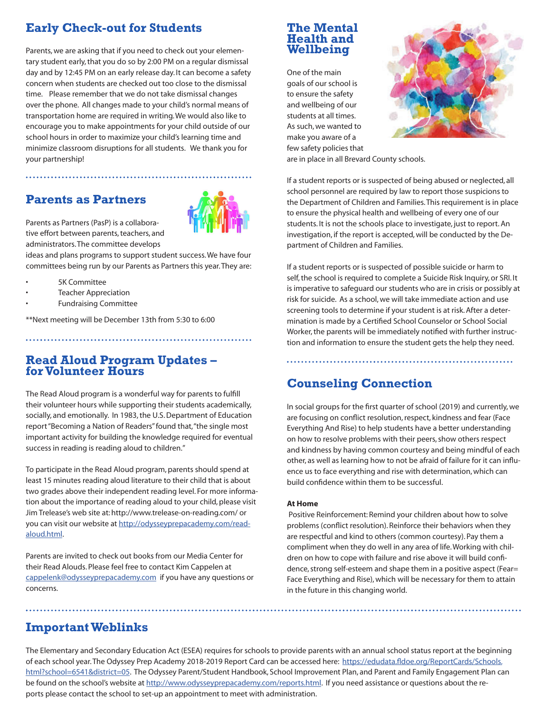## **Early Check-out for Students**

Parents,we are asking that if you need to check out your elementary student early, that you do so by 2:00 PM on a regular dismissal day and by 12:45 PM on an early release day. It can become a safety concern when students are checked out too close to the dismissal time. Please remember that we do not take dismissal changes over the phone. All changes made to your child's normal means of transportation home are required in writing.We would also like to encourage you to make appointments for your child outside of our school hours in order to maximize your child's learning time and minimize classroom disruptions for all students. We thank you for your partnership!

### **Parents as Partners**



Parents as Partners (PasP) is a collaborative effort between parents, teachers, and administrators. The committee develops

ideas and plans programs to support student success. We have four committees being run by our Parents as Partners this year. They are:

- 5K Committee
- **Teacher Appreciation**
- Fundraising Committee

\*\*Next meeting will be December 13th from 5:30 to 6:00

#### **Read Aloud Program Updates – for Volunteer Hours**

The Read Aloud program is a wonderful way for parents to fulfill their volunteer hours while supporting their students academically, socially, and emotionally. In 1983, the U.S. Department of Education report "Becoming a Nation of Readers" found that, "the single most important activity for building the knowledge required for eventual success in reading is reading aloud to children."

To participate in the Read Aloud program, parents should spend at least 15 minutes reading aloud literature to their child that is about two grades above their independent reading level. For more information about the importance of reading aloud to your child, please visit Jim Trelease's web site at: http://www.trelease-on-reading.com/ or you can visit our website at http://odysseyprepacademy.com/readaloud.html.

Parents are invited to check out books from our Media Center for their Read Alouds. Please feel free to contact Kim Cappelen at cappelenk@odysseyprepacademy.com if you have any questions or concerns.

### **The Mental Health and Wellbeing**

One of the main goals of our school is to ensure the safety and wellbeing of our students at all times. As such, we wanted to make you aware of a few safety policies that



are in place in all Brevard County schools.

If a student reports or is suspected of being abused or neglected, all school personnel are required by law to report those suspicions to the Department of Children and Families. This requirement is in place to ensure the physical health and wellbeing of every one of our students. It is not the schools place to investigate, just to report. An investigation, if the report is accepted, will be conducted by the Department of Children and Families.

If a student reports or is suspected of possible suicide or harm to self, the school is required to complete a Suicide Risk Inquiry, or SRI. It is imperative to safeguard our students who are in crisis or possibly at risk for suicide. As a school, we will take immediate action and use screening tools to determine if your student is at risk. After a determination is made by a Certified School Counselor or School Social Worker, the parents will be immediately notified with further instruction and information to ensure the student gets the help they need.

### **Counseling Connection**

In social groups for the first quarter of school (2019) and currently, we are focusing on conflict resolution, respect, kindness and fear (Face Everything And Rise) to help students have a better understanding on how to resolve problems with their peers, show others respect and kindness by having common courtesy and being mindful of each other, as well as learning how to not be afraid of failure for it can influence us to face everything and rise with determination, which can build confidence within them to be successful.

#### **At Home**

Positive Reinforcement: Remind your children about how to solve problems (conflict resolution). Reinforce their behaviors when they are respectful and kind to others (common courtesy). Pay them a compliment when they do well in any area of life. Working with children on how to cope with failure and rise above it will build confidence, strong self-esteem and shape them in a positive aspect (Fear= Face Everything and Rise), which will be necessary for them to attain in the future in this changing world.

### **Important Weblinks**

The Elementary and Secondary Education Act (ESEA) requires for schools to provide parents with an annual school status report at the beginning of each school year. The Odyssey Prep Academy 2018-2019 Report Card can be accessed here: https://edudata.fldoe.org/ReportCards/Schools. html?school=6541&district=05. The Odyssey Parent/Student Handbook, School Improvement Plan, and Parent and Family Engagement Plan can be found on the school's website at http://www.odysseyprepacademy.com/reports.html. If you need assistance or questions about the reports please contact the school to set-up an appointment to meet with administration.